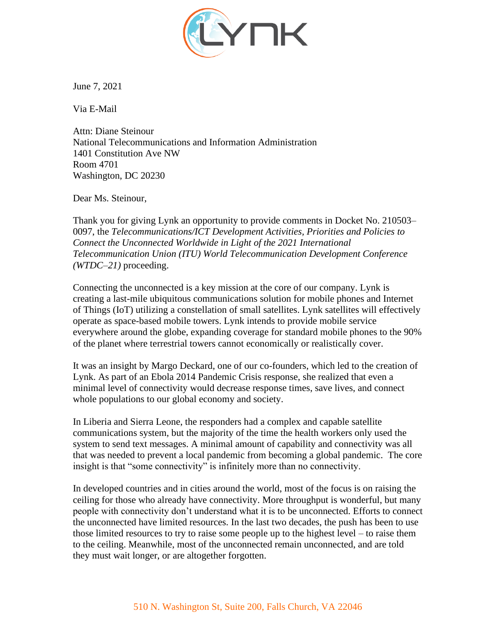

June 7, 2021

Via E-Mail

Attn: Diane Steinour National Telecommunications and Information Administration 1401 Constitution Ave NW Room 4701 Washington, DC 20230

Dear Ms. Steinour,

Thank you for giving Lynk an opportunity to provide comments in Docket No. 210503– 0097, the *Telecommunications/ICT Development Activities, Priorities and Policies to Connect the Unconnected Worldwide in Light of the 2021 International Telecommunication Union (ITU) World Telecommunication Development Conference (WTDC–21)* proceeding.

Connecting the unconnected is a key mission at the core of our company. Lynk is creating a last-mile ubiquitous communications solution for mobile phones and Internet of Things (IoT) utilizing a constellation of small satellites. Lynk satellites will effectively operate as space-based mobile towers. Lynk intends to provide mobile service everywhere around the globe, expanding coverage for standard mobile phones to the 90% of the planet where terrestrial towers cannot economically or realistically cover.

It was an insight by Margo Deckard, one of our co-founders, which led to the creation of Lynk. As part of an Ebola 2014 Pandemic Crisis response, she realized that even a minimal level of connectivity would decrease response times, save lives, and connect whole populations to our global economy and society.

In Liberia and Sierra Leone, the responders had a complex and capable satellite communications system, but the majority of the time the health workers only used the system to send text messages. A minimal amount of capability and connectivity was all that was needed to prevent a local pandemic from becoming a global pandemic. The core insight is that "some connectivity" is infinitely more than no connectivity.

In developed countries and in cities around the world, most of the focus is on raising the ceiling for those who already have connectivity. More throughput is wonderful, but many people with connectivity don't understand what it is to be unconnected. Efforts to connect the unconnected have limited resources. In the last two decades, the push has been to use those limited resources to try to raise some people up to the highest level – to raise them to the ceiling. Meanwhile, most of the unconnected remain unconnected, and are told they must wait longer, or are altogether forgotten.